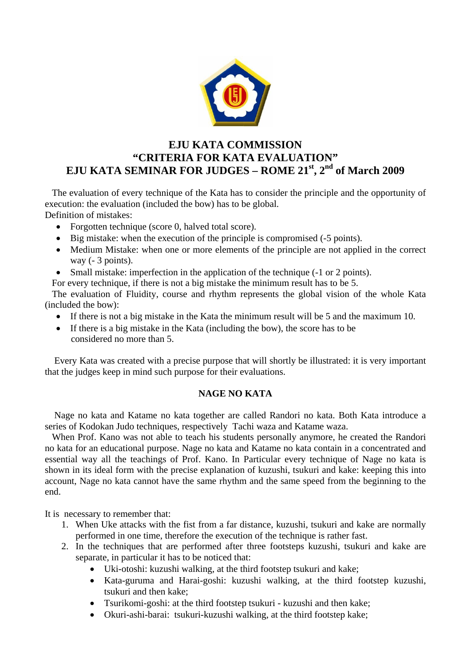

# **EJU KATA COMMISSION "CRITERIA FOR KATA EVALUATION" EJU KATA SEMINAR FOR JUDGES – ROME 21st, 2nd of March 2009**

 The evaluation of every technique of the Kata has to consider the principle and the opportunity of execution: the evaluation (included the bow) has to be global. Definition of mistakes:

- Forgotten technique (score 0, halved total score).
- Big mistake: when the execution of the principle is compromised (-5 points).
- Medium Mistake: when one or more elements of the principle are not applied in the correct way (- 3 points).
- Small mistake: imperfection in the application of the technique (-1 or 2 points).

For every technique, if there is not a big mistake the minimum result has to be 5.

 The evaluation of Fluidity, course and rhythm represents the global vision of the whole Kata (included the bow):

- If there is not a big mistake in the Kata the minimum result will be 5 and the maximum 10.
- If there is a big mistake in the Kata (including the bow), the score has to be considered no more than 5.

 Every Kata was created with a precise purpose that will shortly be illustrated: it is very important that the judges keep in mind such purpose for their evaluations.

### **NAGE NO KATA**

 Nage no kata and Katame no kata together are called Randori no kata. Both Kata introduce a series of Kodokan Judo techniques, respectively Tachi waza and Katame waza.

 When Prof. Kano was not able to teach his students personally anymore, he created the Randori no kata for an educational purpose. Nage no kata and Katame no kata contain in a concentrated and essential way all the teachings of Prof. Kano. In Particular every technique of Nage no kata is shown in its ideal form with the precise explanation of kuzushi, tsukuri and kake: keeping this into account, Nage no kata cannot have the same rhythm and the same speed from the beginning to the end.

It is necessary to remember that:

- 1. When Uke attacks with the fist from a far distance, kuzushi, tsukuri and kake are normally performed in one time, therefore the execution of the technique is rather fast.
- 2. In the techniques that are performed after three footsteps kuzushi, tsukuri and kake are separate, in particular it has to be noticed that:
	- Uki-otoshi: kuzushi walking, at the third footstep tsukuri and kake;
	- Kata-guruma and Harai-goshi: kuzushi walking, at the third footstep kuzushi, tsukuri and then kake;
	- Tsurikomi-goshi: at the third footstep tsukuri kuzushi and then kake;
	- Okuri-ashi-barai: tsukuri-kuzushi walking, at the third footstep kake;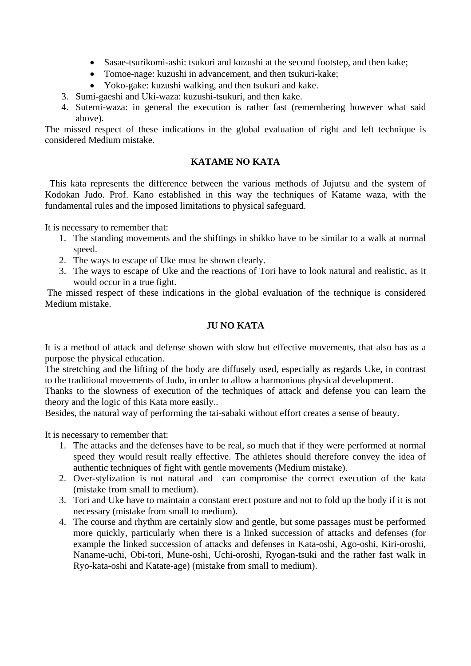- Sasae-tsurikomi-ashi: tsukuri and kuzushi at the second footstep, and then kake;
- Tomoe-nage: kuzushi in advancement, and then tsukuri-kake;
- Yoko-gake: kuzushi walking, and then tsukuri and kake.
- 3. Sumi-gaeshi and Uki-waza: kuzushi-tsukuri, and then kake.
- 4. Sutemi-waza: in general the execution is rather fast (remembering however what said above).

The missed respect of these indications in the global evaluation of right and left technique is considered Medium mistake.

# **KATAME NO KATA**

 This kata represents the difference between the various methods of Jujutsu and the system of Kodokan Judo. Prof. Kano established in this way the techniques of Katame waza, with the fundamental rules and the imposed limitations to physical safeguard.

It is necessary to remember that:

- 1. The standing movements and the shiftings in shikko have to be similar to a walk at normal speed.
- 2. The ways to escape of Uke must be shown clearly.
- 3. The ways to escape of Uke and the reactions of Tori have to look natural and realistic, as it would occur in a true fight.

 The missed respect of these indications in the global evaluation of the technique is considered Medium mistake.

# **JU NO KATA**

It is a method of attack and defense shown with slow but effective movements, that also has as a purpose the physical education.

The stretching and the lifting of the body are diffusely used, especially as regards Uke, in contrast to the traditional movements of Judo, in order to allow a harmonious physical development.

Thanks to the slowness of execution of the techniques of attack and defense you can learn the theory and the logic of this Kata more easily..

Besides, the natural way of performing the tai-sabaki without effort creates a sense of beauty.

It is necessary to remember that:

- 1. The attacks and the defenses have to be real, so much that if they were performed at normal speed they would result really effective. The athletes should therefore convey the idea of authentic techniques of fight with gentle movements (Medium mistake).
- 2. Over-stylization is not natural and can compromise the correct execution of the kata (mistake from small to medium).
- 3. Tori and Uke have to maintain a constant erect posture and not to fold up the body if it is not necessary (mistake from small to medium).
- 4. The course and rhythm are certainly slow and gentle, but some passages must be performed more quickly, particularly when there is a linked succession of attacks and defenses (for example the linked succession of attacks and defenses in Kata-oshi, Ago-oshi, Kiri-oroshi, Naname-uchi, Obi-tori, Mune-oshi, Uchi-oroshi, Ryogan-tsuki and the rather fast walk in Ryo-kata-oshi and Katate-age) (mistake from small to medium).